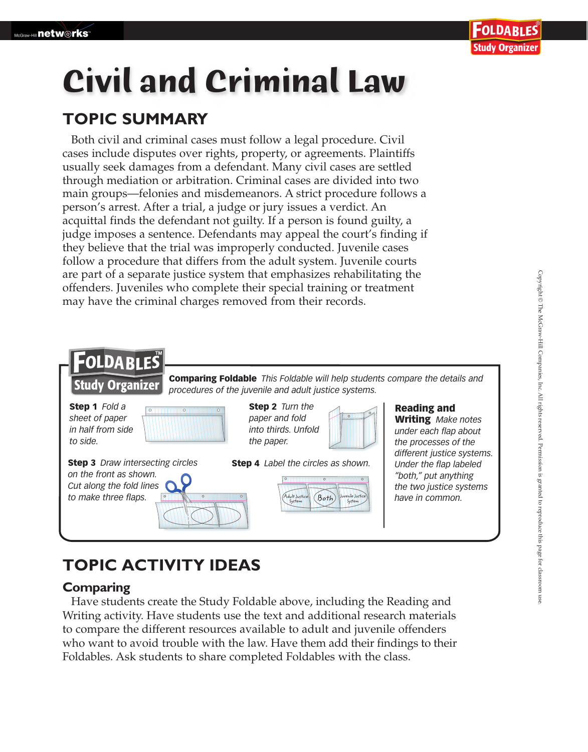# **Civil and Criminal Law**

### **TOPIC SUMMARY**

Both civil and criminal cases must follow a legal procedure. Civil cases include disputes over rights, property, or agreements. Plaintiffs usually seek damages from a defendant. Many civil cases are settled through mediation or arbitration. Criminal cases are divided into two main groups—felonies and misdemeanors. A strict procedure follows a person's arrest. After a trial, a judge or jury issues a verdict. An acquittal finds the defendant not guilty. If a person is found guilty, a judge imposes a sentence. Defendants may appeal the court's finding if they believe that the trial was improperly conducted. Juvenile cases follow a procedure that differs from the adult system. Juvenile courts are part of a separate justice system that emphasizes rehabilitating the offenders. Juveniles who complete their special training or treatment may have the criminal charges removed from their records.



## **TOPIC ACTIVITY IDEAS**

#### **Comparing**

 Have students create the Study Foldable above, including the Reading and Writing activity. Have students use the text and additional research materials to compare the different resources available to adult and juvenile offenders who want to avoid trouble with the law. Have them add their findings to their Foldables. Ask students to share completed Foldables with the class.